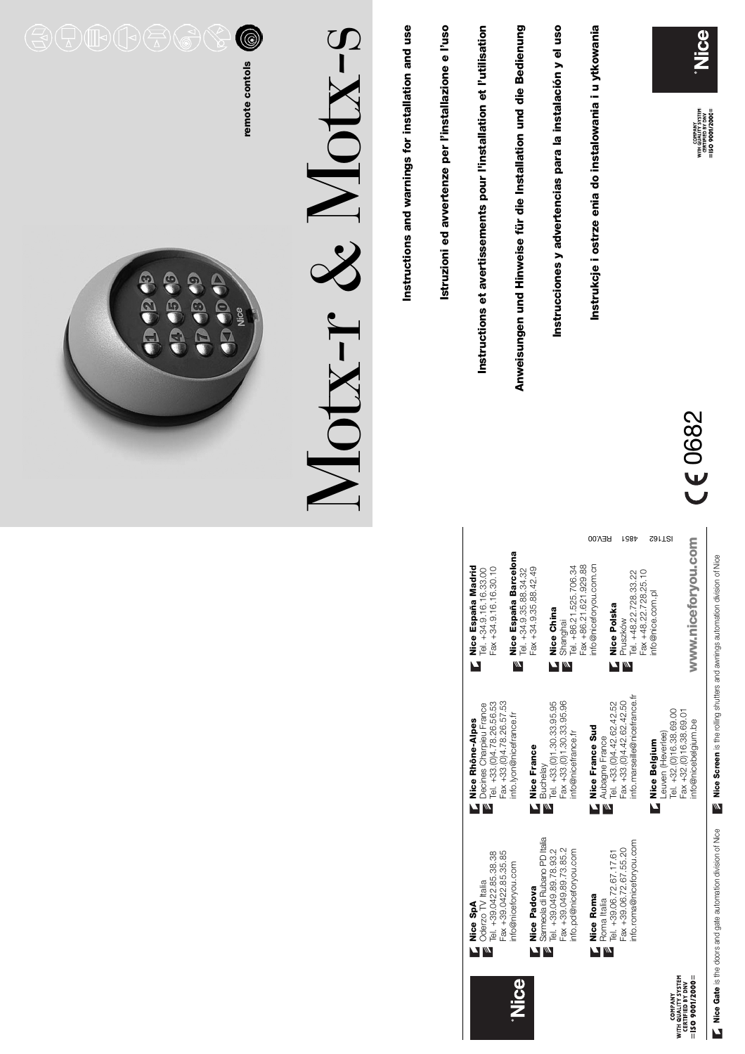



**Nice Belgium**

Nice Belgium

info@nice.com.pl

info@nice.com.pl

0682

Nice

COMPANY<br>VITH QUALITY SYSTEM<br>CERTIFIED BY DNV<br>ISO 9001/2000 =

 $\Gamma$  Nice Rhône-Alpes<br>Decines Charpieu France<br> $\Gamma$  Tal  $_{-43,001}$  78.26.58.53 Tel. +33.(0)4.78.26.56.53 Tel. +33.(0)4.78.26.56.53 Decines Charpieu France **Nice Rhône-Alpes** Tel. +39.0422.85.38.38<br>Fax +39.0422.85.35.85 Tel. +39.0422.85.38.38 Fax +39.0422.85.35.85 nto@niceforyou.com info@niceforyou.com

**Nice SpA** Oderzo TV Italia

Oderzo TV Italia

**Mice SpA**<br>| Oderzo TV<br>| Oderzo TV<br>| Tol Oderzo

Fax +33.(0)4.78.26.57.53 Fax +33.(0)4.78.26.57.53 info.lyon@nicefrance.fr info.lyon@nicefrance.fr **Nice France**

**Nice Padova**

Nice

**Kice Padova**<br>Sameola di Ruba<br>**E** Sameola di Ruba<br>E Tol 130 040 80

Sarmeola di Rubano PD Italia Tel. +39.049.89.78.93.2 Fax +39.049.89.73.85.2 info.pd@niceforyou.com

Sameola di Rubano PD Italia Tel. +39.049.89.78.93.2<br>Fax +39.049.89.73.85.2

**Nice Roma** Roma Italia

M

Nice Roma

nfo.pd@niceforyou.com

**Nice France Sud** Aubagne France Tel. +33.(0)4.42.62.42.52 Fax +33.(0)4.42.62.42.50 info.marseille@nicefrance.fr

**Nice Polska** Pruszków

Pruszków

M

Nice Polska

Tel. +39.06.72.67.17.61 Fax +39.06.72.67.55.20 info.roma@niceforyou.com

, Roma Italia<br>■ Tel. +39.06.72.67.17.61<br>Fax +39.06.72.67.55.20<br>info.roma@niceforyou.com

**K Nice Francis**<br>Bluchelay<br>**B** Tel. +33.(0)1.30.33.95.95<br>^^ (n1.30.33.95.96 Fax +33.(0)1.30.33.95.96 info@nicefrance.fr info@nicefrance.fr

Tel. +33.(0)1.30.33.95.95

 $Mice$  France Sud<br>  $\leq$  Aubagne France<br>  $\leq$  Tel. +33.(0)4.42.62.42.52<br>
Fax +33.(0)4.42.62.42.50<br>
Info.marsellie@nicefrance.fr

Nice China **Nice China** MM

Tel. +34.9.35.88.34.32<br>Fax +34.9.35.88.42.49 Tel. +34.9.35.88.34.32 Fax +34.9.35.88.42.49  $\overline{M}$ 

Fax +34.9.16.16.30.10 Tel. +34.9.16.16.33.00 Tel. +34.9.16.16.33.00 Fax +34.9.16.16.30.10

Ń

Nice España Barcelona **Nice España Barcelona**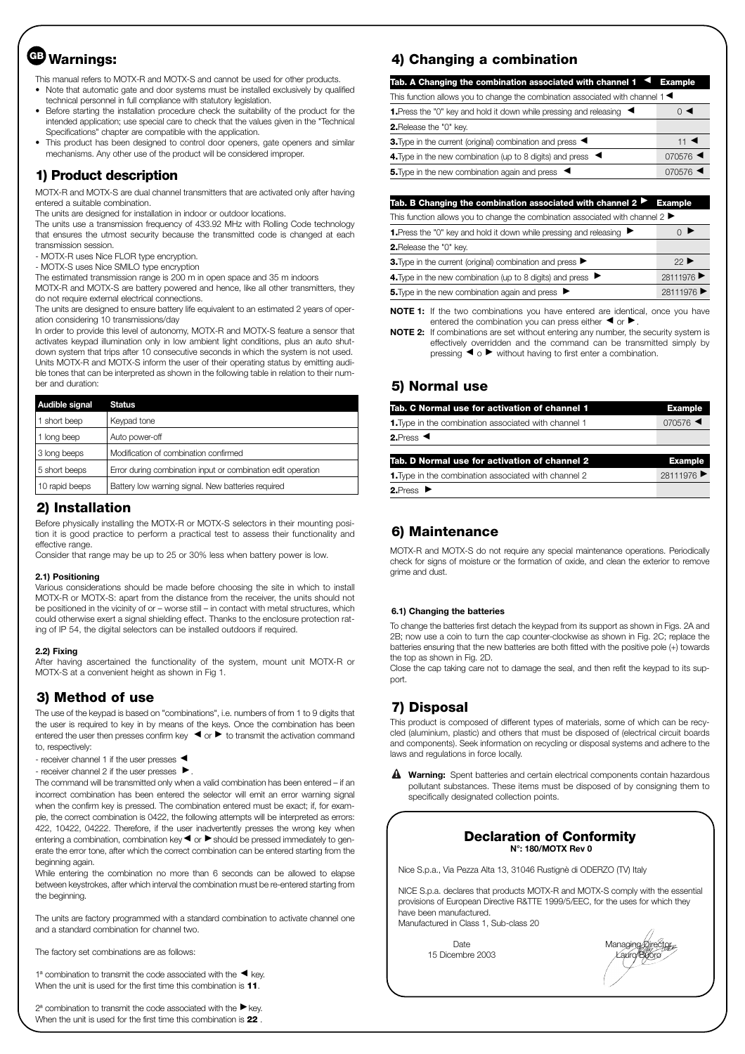# **Warnings: GB**

This manual refers to MOTX-R and MOTX-S and cannot be used for other products.

- Note that automatic gate and door systems must be installed exclusively by qualified technical personnel in full compliance with statutory legislation.
- Before starting the installation procedure check the suitability of the product for the intended application; use special care to check that the values given in the "Technical Specifications" chapter are compatible with the application.
- This product has been designed to control door openers, gate openers and similar mechanisms. Any other use of the product will be considered improper.

#### **1) Product description**

MOTX-R and MOTX-S are dual channel transmitters that are activated only after having entered a suitable combination.

The units are designed for installation in indoor or outdoor locations.

The units use a transmission frequency of 433.92 MHz with Rolling Code technology that ensures the utmost security because the transmitted code is changed at each transmission session.

- MOTX-R uses Nice FLOR type encryption.

- MOTX-S uses Nice SMILO type encryption

The estimated transmission range is 200 m in open space and 35 m indoors

MOTX-R and MOTX-S are battery powered and hence, like all other transmitters, they do not require external electrical connections.

The units are designed to ensure battery life equivalent to an estimated 2 years of operation considering 10 transmissions/day

In order to provide this level of autonomy, MOTX-R and MOTX-S feature a sensor that activates keypad illumination only in low ambient light conditions, plus an auto shutdown system that trips after 10 consecutive seconds in which the system is not used. Units MOTX-R and MOTX-S inform the user of their operating status by emitting audible tones that can be interpreted as shown in the following table in relation to their number and duration:

| Audible signal | <b>Status</b>                                                |
|----------------|--------------------------------------------------------------|
| 1 short beep   | Keypad tone                                                  |
| 1 long beep    | Auto power-off                                               |
| 3 long beeps   | Modification of combination confirmed                        |
| 5 short beeps  | Error during combination input or combination edit operation |
| 10 rapid beeps | Battery low warning signal. New batteries required           |

#### **2) Installation**

Before physically installing the MOTX-R or MOTX-S selectors in their mounting position it is good practice to perform a practical test to assess their functionality and effective range

Consider that range may be up to 25 or 30% less when battery power is low.

#### **2.1) Positioning**

Various considerations should be made before choosing the site in which to install MOTX-R or MOTX-S: apart from the distance from the receiver, the units should not be positioned in the vicinity of or – worse still – in contact with metal structures, which could otherwise exert a signal shielding effect. Thanks to the enclosure protection rating of IP 54, the digital selectors can be installed outdoors if required.

#### **2.2) Fixing**

After having ascertained the functionality of the system, mount unit MOTX-R or MOTX-S at a convenient height as shown in Fig 1.

## **3) Method of use**

The use of the keypad is based on "combinations", i.e. numbers of from 1 to 9 digits that the user is required to key in by means of the keys. Once the combination has been entered the user then presses confirm key  $\blacktriangleleft$  or  $\blacktriangleright$  to transmit the activation command to, respectively:

- receiver channel 1 if the user presses <■

 $-$  receiver channel 2 if the user presses  $\blacktriangleright$ .

The command will be transmitted only when a valid combination has been entered – if an incorrect combination has been entered the selector will emit an error warning signal when the confirm key is pressed. The combination entered must be exact; if. for example, the correct combination is 0422, the following attempts will be interpreted as errors: 422, 10422, 04222. Therefore, if the user inadvertently presses the wrong key when entering a combination, combination key  $\blacktriangleleft$  or  $\blacktriangleright$  should be pressed immediately to generate the error tone, after which the correct combination can be entered starting from the beginning again.

While entering the combination no more than 6 seconds can be allowed to elapse between keystrokes, after which interval the combination must be re-entered starting from the beginning.

The units are factory programmed with a standard combination to activate channel one and a standard combination for channel two.

The factory set combinations are as follows:

1ª combination to transmit the code associated with the  $\blacktriangleleft$  key. When the unit is used for the first time this combination is **11**.

 $2^a$  combination to transmit the code associated with the  $\blacktriangleright$  key. When the unit is used for the first time this combination is **22** .

## **4) Changing a combination**

| Tab. A Changing the combination associated with channel $1 \blacktriangleleft$ Example            |  |  |
|---------------------------------------------------------------------------------------------------|--|--|
| This function allows you to change the combination associated with channel 1 $\blacktriangleleft$ |  |  |
| ()                                                                                                |  |  |
|                                                                                                   |  |  |
| $11$ $\blacktriangleleft$                                                                         |  |  |
| $070576$ $\blacktriangleleft$                                                                     |  |  |
| $070576$ $\triangleleft$                                                                          |  |  |
|                                                                                                   |  |  |

#### Tab. B Changing the combination associated with channel 2 ▶ Example

| This function allows you to change the combination associated with channel $2 \blacktriangleright$ |          |
|----------------------------------------------------------------------------------------------------|----------|
| <b>1.</b> Press the "0" key and hold it down while pressing and releasing $\blacktriangleright$    |          |
| <b>2.</b> Release the "0" key.                                                                     |          |
| 3. Type in the current (original) combination and press ▶                                          | 22       |
| 4. Type in the new combination (up to 8 digits) and press ▶                                        | 28111976 |
| 5. Type in the new combination again and press ▶                                                   | 28111976 |

**NOTE 1:** If the two combinations you have entered are identical, once you have entered the combination you can press either  $\blacktriangleleft$  or  $\blacktriangleright$  .

**NOTE 2:** If combinations are set without entering any number, the security system is effectively overridden and the command can be transmitted simply by pressing  $\blacktriangleleft$  o  $\blacktriangleright$  without having to first enter a combination.

## **5) Normal use**

| Tab. C Normal use for activation of channel 1               | <b>Example</b>                |
|-------------------------------------------------------------|-------------------------------|
| <b>1.</b> Type in the combination associated with channel 1 | $070576$ $\blacktriangleleft$ |
| 2. Press $\blacktriangleleft$                               |                               |
| Tab. D Normal use for activation of channel 2               | <b>Example</b>                |
| <b>1.</b> Type in the combination associated with channel 2 | 28111976                      |
| 2. Press $\blacktriangleright$                              |                               |

## **6) Maintenance**

MOTX-R and MOTX-S do not require any special maintenance operations. Periodically check for signs of moisture or the formation of oxide, and clean the exterior to remove grime and dust.

#### **6.1) Changing the batteries**

To change the batteries first detach the keypad from its support as shown in Figs. 2A and 2B; now use a coin to turn the cap counter-clockwise as shown in Fig. 2C; replace the batteries ensuring that the new batteries are both fitted with the positive pole (+) towards the top as shown in Fig. 2D.

Close the cap taking care not to damage the seal, and then refit the keypad to its support.

## **7) Disposal**

This product is composed of different types of materials, some of which can be recycled (aluminium, plastic) and others that must be disposed of (electrical circuit boards and components). Seek information on recycling or disposal systems and adhere to the laws and regulations in force locally.

**Warning:** Spent batteries and certain electrical components contain hazardous **!** pollutant substances. These items must be disposed of by consigning them to specifically designated collection points.

#### **Declaration of Conformity N°: 180/MOTX Rev 0**

Nice S.p.a., Via Pezza Alta 13, 31046 Rustignè di ODERZO (TV) Italy

NICE S.p.a. declares that products MOTX-R and MOTX-S comply with the essential provisions of European Directive R&TTE 1999/5/EEC, for the uses for which they have been manufactured. Manufactured in Class 1, Sub-class 20

15 Dicembre 2003 Lauro Buoro Lauro Buoro

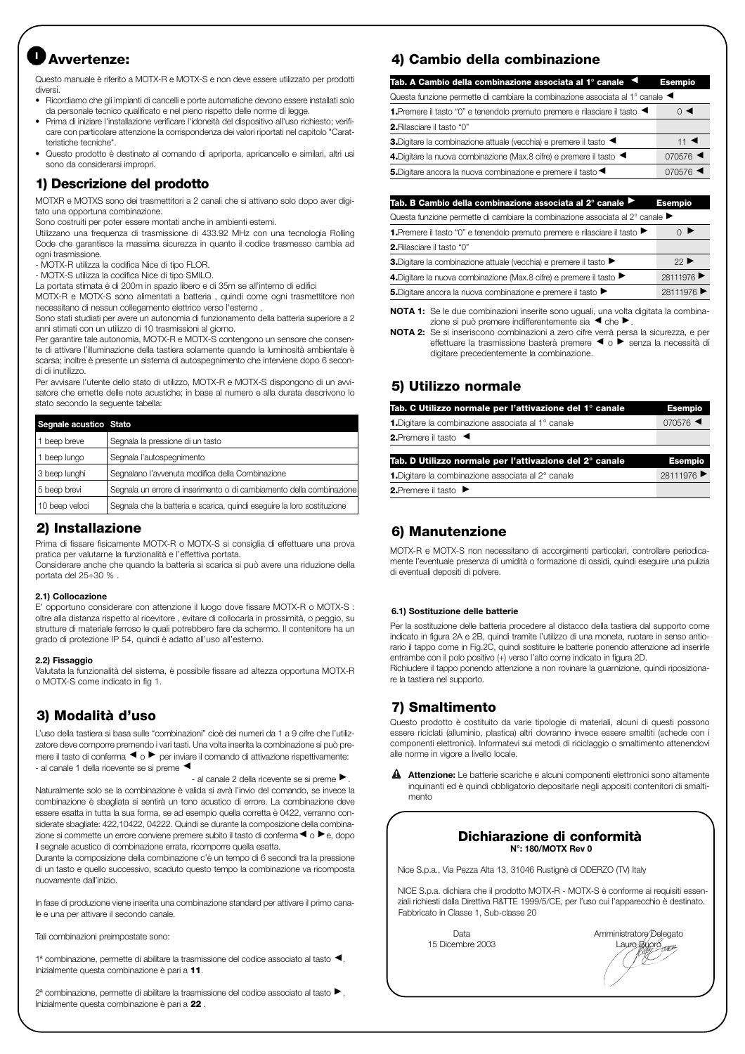# **Avvertenze: <sup>I</sup>**

Questo manuale è riferito a MOTX-R e MOTX-S e non deve essere utilizzato per prodotti diversi.

- Ricordiamo che gli impianti di cancelli e porte automatiche devono essere installati solo da personale tecnico qualificato e nel pieno rispetto delle norme di legge.
- Prima di iniziare l'installazione verificare l'idoneità del dispositivo all'uso richiesto; verificare con particolare attenzione la corrispondenza dei valori riportati nel capitolo "Caratteristiche tecniche".
- Questo prodotto è destinato al comando di apriporta, apricancello e similari, altri usi sono da considerarsi impropri.

#### **1) Descrizione del prodotto**

MOTXR e MOTXS sono dei trasmettitori a 2 canali che si attivano solo dopo aver digitato una opportuna combinazione.

Sono costruiti per poter essere montati anche in ambienti esterni.

Utilizzano una frequenza di trasmissione di 433.92 MHz con una tecnologia Rolling Code che garantisce la massima sicurezza in quanto il codice trasmesso cambia ad ogni trasmissione.

- MOTX-R utilizza la codifica Nice di tipo FLOR.

- MOTX-S utilizza la codifica Nice di tipo SMILO. La portata stimata è di 200m in spazio libero e di 35m se all'interno di edifici

MOTX-R e MOTX-S sono alimentati a batteria , quindi come ogni trasmettitore non

necessitano di nessun collegamento elettrico verso l'esterno . Sono stati studiati per avere un autonomia di funzionamento della batteria superiore a 2 anni stimati con un utilizzo di 10 trasmissioni al giorno.

Per garantire tale autonomia, MOTX-R e MOTX-S contengono un sensore che consente di attivare l'illuminazione della tastiera solamente quando la luminosità ambientale è scarsa; inoltre è presente un sistema di autospegnimento che interviene dopo 6 secondi di inutilizzo.

Per avvisare l'utente dello stato di utilizzo, MOTX-R e MOTX-S dispongono di un avvisatore che emette delle note acustiche; in base al numero e alla durata descrivono lo stato secondo la seguente tabella:

| Segnale acustico Stato |                                                                         |
|------------------------|-------------------------------------------------------------------------|
| 1 beep breve           | Segnala la pressione di un tasto                                        |
| 1 beep lungo           | Segnala l'autospegnimento                                               |
| 3 beep lunghi          | Segnalano l'avvenuta modifica della Combinazione                        |
| 5 beep brevi           | Segnala un errore di inserimento o di cambiamento della combinazione    |
| 10 beep veloci         | Segnala che la batteria e scarica, quindi eseguire la loro sostituzione |

#### **2) Installazione**

Prima di fissare fisicamente MOTX-R o MOTX-S si consiglia di effettuare una prova pratica per valutarne la funzionalità e l'effettiva portata.

Considerare anche che quando la batteria si scarica si può avere una riduzione della portata del 25÷30 % .

#### **2.1) Collocazione**

E' opportuno considerare con attenzione il luogo dove fissare MOTX-R o MOTX-S : oltre alla distanza rispetto al ricevitore , evitare di collocarla in prossimità, o peggio, su strutture di materiale ferroso le quali potrebbero fare da schermo. Il contenitore ha un grado di protezione IP 54, quindi è adatto all'uso all'esterno.

#### **2.2) Fissaggio**

Valutata la funzionalità del sistema, è possibile fissare ad altezza opportuna MOTX-R o MOTX-S come indicato in fig 1.

## **3) Modalità d'uso**

L'uso della tastiera si basa sulle "combinazioni" cioè dei numeri da 1 a 9 cifre che l'utilizzatore deve comporre premendo i vari tasti. Una volta inserita la combinazione si può premere il tasto di conferma  $\blacktriangleleft$  o  $\blacktriangleright$  per inviare il comando di attivazione rispettivamente: - al canale 1 della ricevente se si preme <

 $-$  al canale 2 della ricevente se si preme  $\blacktriangleright$  . Naturalmente solo se la combinazione è valida si avrà l'invio del comando, se invece la combinazione è sbagliata si sentirà un tono acustico di errore. La combinazione deve essere esatta in tutta la sua forma, se ad esempio quella corretta è 0422, verranno considerate sbagliate: 422,10422, 04222. Quindi se durante la composizione della combinazione si commette un errore conviene premere subito il tasto di conferma <  $\circ$   $\blacktriangleright$  e, dopo il segnale acustico di combinazione errata, ricomporre quella esatta.

Durante la composizione della combinazione c'è un tempo di 6 secondi tra la pressione di un tasto e quello successivo, scaduto questo tempo la combinazione va ricomposta nuovamente dall'inizio.

In fase di produzione viene inserita una combinazione standard per attivare il primo canale e una per attivare il secondo canale.

Tali combinazioni preimpostate sono:

1ª combinazione, permette di abilitare la trasmissione del codice associato al tasto ◀. Inizialmente questa combinazione è pari a **11**.

 $2^{\text{a}}$  combinazione, permette di abilitare la trasmissione del codice associato al tasto  $\blacktriangleright$ . Inizialmente questa combinazione è pari a **22** .

## **4) Cambio della combinazione**

| Tab. A Cambio della combinazione associata al 1º canale $\;$ $\blacktriangleleft$                | <b>Esempio</b>                |
|--------------------------------------------------------------------------------------------------|-------------------------------|
| Questa funzione permette di cambiare la combinazione associata al 1° canale $\blacktriangleleft$ |                               |
| 1. Premere il tasto "0" e tenendolo premuto premere e rilasciare il tasto <                      | $\circ$ $\triangleleft$       |
| <b>2.</b> Rilasciare il tasto "0"                                                                |                               |
| 3. Digitare la combinazione attuale (vecchia) e premere il tasto <                               | 11 $\blacktriangleleft$       |
| 4. Digitare la nuova combinazione (Max.8 cifre) e premere il tasto <                             | $070576$ <                    |
| 5. Digitare ancora la nuova combinazione e premere il tasto <                                    | $070576$ $\blacktriangleleft$ |
|                                                                                                  |                               |

Tab. B Cambio della combinazione associata al 2° canale ▶ Esempio

Questa funzione permette di cambiare la combinazione associata al 2° canale ▶

|  | 1. Premere il tasto "0" e tenendolo premuto premere e rilasciare il tasto |  |
|--|---------------------------------------------------------------------------|--|
|--|---------------------------------------------------------------------------|--|

| <b>2.</b> Rilasciare il tasto "0"                                                        |                          |
|------------------------------------------------------------------------------------------|--------------------------|
| 3. Digitare la combinazione attuale (vecchia) e premere il tasto ▶                       | $22 \blacktriangleright$ |
| 4. Digitare la nuova combinazione (Max.8 cifre) e premere il tasto $\blacktriangleright$ | 28111976                 |
| 5.Digitare ancora la nuova combinazione e premere il tasto ▶                             | 28111976 ▶               |

**NOTA 1:** Se le due combinazioni inserite sono uguali, una volta digitata la combinazione si può premere indifferentemente sia  $\blacktriangleleft$  che $\blacktriangleright$ .

**NOTA 2:** Se si inseriscono combinazioni a zero cifre verrà persa la sicurezza, e per effettuare la trasmissione basterà premere < o ▶ senza la necessità di digitare precedentemente la combinazione.

#### **5) Utilizzo normale**

| Tab. C Utilizzo normale per l'attivazione del 1° canale               | <b>Esempio</b>                |
|-----------------------------------------------------------------------|-------------------------------|
| <b>1.</b> Digitare la combinazione associata al 1 <sup>°</sup> canale | $070576$ $\blacktriangleleft$ |
| <b>2.</b> Premere il tasto $\blacktriangleleft$                       |                               |
| Tab. D Utilizzo normale per l'attivazione del 2° canale               | <b>Esempio</b>                |
| 1. Digitare la combinazione associata al 2° canale                    | 28111976 ▶                    |
| 2. Premere il tasto ▶                                                 |                               |

## **6) Manutenzione**

MOTX-R e MOTX-S non necessitano di accorgimenti particolari, controllare periodicamente l'eventuale presenza di umidità o formazione di ossidi, quindi eseguire una pulizia di eventuali depositi di polvere.

#### **6.1) Sostituzione delle batterie**

Per la sostituzione delle batteria procedere al distacco della tastiera dal supporto come indicato in figura 2A e 2B, quindi tramite l'utilizzo di una moneta, ruotare in senso antiorario il tappo come in Fig.2C, quindi sostituire le batterie ponendo attenzione ad inserirle entrambe con il polo positivo (+) verso l'alto come indicato in figura 2D. Richiudere il tappo ponendo attenzione a non rovinare la guarnizione, quindi riposizionare la tastiera nel supporto.

## **7) Smaltimento**

Questo prodotto è costituito da varie tipologie di materiali, alcuni di questi possono essere riciclati (alluminio, plastica) altri dovranno invece essere smaltiti (schede con i componenti elettronici). Informatevi sui metodi di riciclaggio o smaltimento attenendovi alle norme in vigore a livello locale.

**Attenzione:** Le batterie scariche e alcuni componenti elettronici sono altamente **!** inquinanti ed è quindi obbligatorio depositarle negli appositi contenitori di smaltimento

#### **Dichiarazione di conformità N°: 180/MOTX Rev 0**

Nice S.p.a., Via Pezza Alta 13, 31046 Rustignè di ODERZO (TV) Italy

NICE S.p.a. dichiara che il prodotto MOTX-R - MOTX-S è conforme ai requisiti essenziali richiesti dalla Direttiva R&TTE 1999/5/CE, per l'uso cui l'apparecchio è destinato. Fabbricato in Classe 1, Sub-classe 20

Data **Data** Amministratore Delegato 15 Dicembre 2003 Lauro Bygroup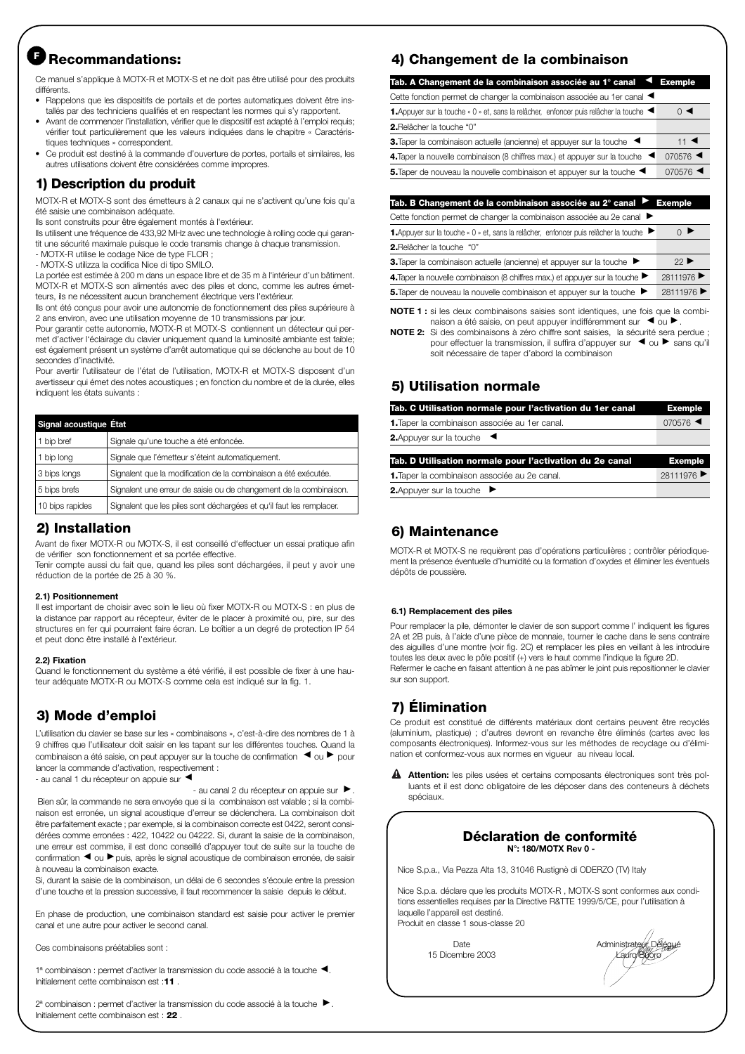# **Recommandations: <sup>F</sup>**

Ce manuel s'applique à MOTX-R et MOTX-S et ne doit pas être utilisé pour des produits différents.

- Rappelons que les dispositifs de portails et de portes automatiques doivent être installés par des techniciens qualifiés et en respectant les normes qui s'y rapportent.
- Avant de commencer l'installation, vérifier que le dispositif est adapté à l'emploi requis; vérifier tout particulièrement que les valeurs indiquées dans le chapitre « Caractéristiques techniques » correspondent.
- Ce produit est destiné à la commande d'ouverture de portes, portails et similaires, les autres utilisations doivent être considérées comme impropres.

## **1) Description du produit**

MOTX-R et MOTX-S sont des émetteurs à 2 canaux qui ne s'activent qu'une fois qu'a été saisie une combinaison adéquate.

Ils sont construits pour être également montés à l'extérieur.

Ils utilisent une fréquence de 433,92 MHz avec une technologie à rolling code qui garantit une sécurité maximale puisque le code transmis change à chaque transmission.

- MOTX-R utilise le codage Nice de type FLOR ;
- MOTX-S utilizza la codifica Nice di tipo SMILO.

La portée est estimée à 200 m dans un espace libre et de 35 m à l'intérieur d'un bâtiment. MOTX-R et MOTX-S son alimentés avec des piles et donc, comme les autres émetteurs, ils ne nécessitent aucun branchement électrique vers l'extérieur.

Ils ont été conçus pour avoir une autonomie de fonctionnement des piles supérieure à 2 ans environ, avec une utilisation moyenne de 10 transmissions par jour.

Pour garantir cette autonomie, MOTX-R et MOTX-S contiennent un détecteur qui permet d'activer l'éclairage du clavier uniquement quand la luminosité ambiante est faible; est également présent un système d'arrêt automatique qui se déclenche au bout de 10 secondes d'inactivité.

Pour avertir l'utilisateur de l'état de l'utilisation, MOTX-R et MOTX-S disposent d'un avertisseur qui émet des notes acoustiques ; en fonction du nombre et de la durée, elles indiquent les états suivants :

| Signal acoustique État |                                                                      |
|------------------------|----------------------------------------------------------------------|
| 1 bip bref             | Signale qu'une touche a été enfoncée.                                |
| 1 bip long             | Signale que l'émetteur s'éteint automatiquement.                     |
| 3 bips longs           | Signalent que la modification de la combinaison a été exécutée.      |
| 5 bips brefs           | Signalent une erreur de saisie ou de changement de la combinaison.   |
| 10 bips rapides        | Signalent que les piles sont déchargées et qu'il faut les remplacer. |

#### **2) Installation**

Avant de fixer MOTX-R ou MOTX-S, il est conseillé d'effectuer un essai pratique afin de vérifier son fonctionnement et sa portée effective.

Tenir compte aussi du fait que, quand les piles sont déchargées, il peut y avoir une réduction de la portée de 25 à 30 %.

#### **2.1) Positionnement**

Il est important de choisir avec soin le lieu où fixer MOTX-R ou MOTX-S : en plus de la distance par rapport au récepteur, éviter de le placer à proximité ou, pire, sur des structures en fer qui pourraient faire écran. Le boîtier a un degré de protection IP 54 et peut donc être installé à l'extérieur.

#### **2.2) Fixation**

Quand le fonctionnement du système a été vérifié, il est possible de fixer à une hauteur adéquate MOTX-R ou MOTX-S comme cela est indiqué sur la fig. 1.

## **3) Mode d'emploi**

L'utilisation du clavier se base sur les « combinaisons », c'est-à-dire des nombres de 1 à 9 chiffres que l'utilisateur doit saisir en les tapant sur les différentes touches. Quand la combinaison a été saisie, on peut appuyer sur la touche de confirmation  $\blacktriangleleft$  ou  $\blacktriangleright$  pour lancer la commande d'activation, respectivement :

- au canal 1 du récepteur on appuie sur <

 $-$  au canal 2 du récepteur on appuie sur  $\blacktriangleright$ .

Bien sûr, la commande ne sera envoyée que si la combinaison est valable ; si la combinaison est erronée, un signal acoustique d'erreur se déclenchera. La combinaison doit être parfaitement exacte ; par exemple, si la combinaison correcte est 0422, seront considérées comme erronées : 422, 10422 ou 04222. Si, durant la saisie de la combinaison, une erreur est commise, il est donc conseillé d'appuyer tout de suite sur la touche de confirmation < ou ▶ puis, après le signal acoustique de combinaison erronée, de saisir à nouveau la combinaison exacte.

Si, durant la saisie de la combinaison, un délai de 6 secondes s'écoule entre la pression d'une touche et la pression successive, il faut recommencer la saisie depuis le début.

En phase de production, une combinaison standard est saisie pour activer le premier canal et une autre pour activer le second canal.

Ces combinaisons préétablies sont :

1ª combinaison : permet d'activer la transmission du code associé à la touche < Initialement cette combinaison est :**11** .

2ª combinaison : permet d'activer la transmission du code associé à la touche ▶. Initialement cette combinaison est : **22** .

## **4) Changement de la combinaison**

| Tab. A Changement de la combinaison associée au 1° canal $\blacktriangleleft$ Exemple   |                               |
|-----------------------------------------------------------------------------------------|-------------------------------|
| Cette fonction permet de changer la combinaison associée au 1er canal <                 |                               |
| 1. Appuyer sur la touche « 0 » et, sans la relâcher, enfoncer puis relâcher la touche < | $\Omega$ $\blacktriangleleft$ |
| <b>2.</b> Relâcher la touche "0"                                                        |                               |
| 3. Taper la combinaison actuelle (ancienne) et appuyer sur la touche <                  | 11 $\blacktriangleleft$       |
| 4. Taper la nouvelle combinaison (8 chiffres max.) et appuyer sur la touche <           | $070576$ $\blacktriangleleft$ |
| 5. Taper de nouveau la nouvelle combinaison et appuyer sur la touche <                  | $070576$ $\blacktriangleleft$ |
|                                                                                         |                               |

Tab. B Changement de la combinaison associée au 2° canal <sup>></sup> Exemple ▼

Cette fonction permet de changer la combinaison associée au 2e canal ▶

| 3. Taper la combinaison actuelle (ancienne) et appuyer sur la touche                  | $22$ ▶ |
|---------------------------------------------------------------------------------------|--------|
| <b>2.</b> Relâcher la touche "0"                                                      |        |
| 1. Appuyer sur la touche « 0 » et, sans la relâcher, enfoncer puis relâcher la touche |        |

| <b>4.</b> Taper la nouvelle combinaison (8 chiffres max.) et appuyer sur la touche $\blacktriangleright$ | 28111976 ▶ |
|----------------------------------------------------------------------------------------------------------|------------|
| 5. Taper de nouveau la nouvelle combinaison et appuyer sur la touche                                     | 28111976 ▶ |
|                                                                                                          |            |

**NOTE 1 :** si les deux combinaisons saisies sont identiques, une fois que la combinaison a été saisie, on peut appuyer indifféremment sur  $\blacktriangleleft$  ou  $\blacktriangleright$ .

**NOTE 2:** Si des combinaisons à zéro chiffre sont saisies, la sécurité sera perdue ; pour effectuer la transmission, il suffira d'appuyer sur < ou ▶ sans qu'il soit nécessaire de taper d'abord la combinaison

## **5) Utilisation normale**

| Tab. C Utilisation normale pour l'activation du 1er canal | <b>Exemple</b>                |
|-----------------------------------------------------------|-------------------------------|
| 1. Taper la combinaison associée au 1 er canal.           | $070576$ $\blacktriangleleft$ |
| <b>2.</b> Appuyer sur la touche $\triangleleft$           |                               |
| Tab. D Utilisation normale pour l'activation du 2e canal  | <b>Exemple</b>                |
| 1. Taper la combinaison associée au 2e canal.             | 28111976                      |
| <b>2.</b> Appuyer sur la touche $\blacktriangleright$     |                               |

## **6) Maintenance**

MOTX-R et MOTX-S ne requièrent pas d'opérations particulières ; contrôler périodiquement la présence éventuelle d'humidité ou la formation d'oxydes et éliminer les éventuels dépôts de poussière.

#### **6.1) Remplacement des piles**

Pour remplacer la pile, démonter le clavier de son support comme l' indiquent les figures 2A et 2B puis, à l'aide d'une pièce de monnaie, tourner le cache dans le sens contraire des aiguilles d'une montre (voir fig. 2C) et remplacer les piles en veillant à les introduire toutes les deux avec le pôle positif (+) vers le haut comme l'indique la figure 2D. Refermer le cache en faisant attention à ne pas abîmer le joint puis repositionner le clavier sur son support.

## **7) Élimination**

Ce produit est constitué de différents matériaux dont certains peuvent être recyclés (aluminium, plastique) ; d'autres devront en revanche être éliminés (cartes avec les composants électroniques). Informez-vous sur les méthodes de recyclage ou d'élimination et conformez-vous aux normes en vigueur au niveau local.

**Attention:** les piles usées et certains composants électroniques sont très pol-**!** luants et il est donc obligatoire de les déposer dans des conteneurs à déchets spéciaux.

#### **Déclaration de conformité N°: 180/MOTX Rev 0 -**

Nice S.p.a., Via Pezza Alta 13, 31046 Rustignè di ODERZO (TV) Italy

Nice S.p.a. déclare que les produits MOTX-R , MOTX-S sont conformes aux conditions essentielles requises par la Directive R&TTE 1999/5/CE, pour l'utilisation à laquelle l'appareil est destiné. Produit en classe 1 sous-classe 20

15 Dicembre 2003

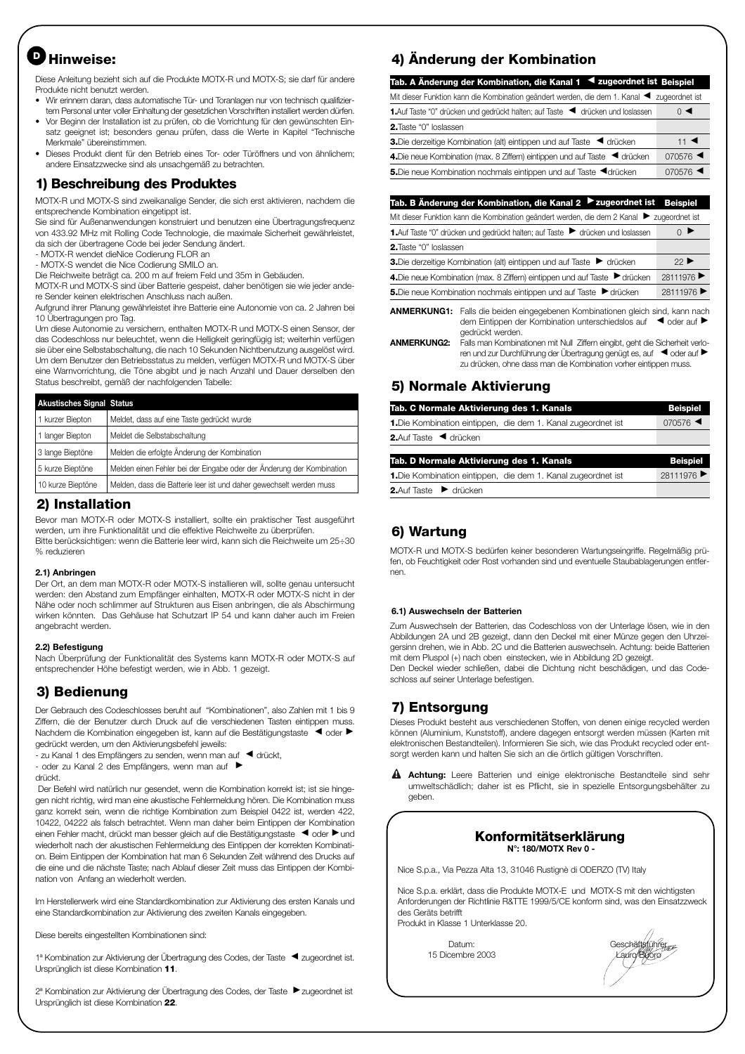# **Hinweise: <sup>D</sup>**

Diese Anleitung bezieht sich auf die Produkte MOTX-R und MOTX-S; sie darf für andere Produkte nicht benutzt werden.

- Wir erinnern daran, dass automatische Tür- und Toranlagen nur von technisch qualifiziertem Personal unter voller Einhaltung der gesetzlichen Vorschriften installiert werden dürfen.
- Vor Beginn der Installation ist zu prüfen, ob die Vorrichtung für den gewünschten Einsatz geeignet ist; besonders genau prüfen, dass die Werte in Kapitel "Technische Merkmale" übereinstimmen.
- Dieses Produkt dient für den Betrieb eines Tor- oder Türöffners und von ähnlichem; andere Einsatzzwecke sind als unsachgemäß zu betrachten.

#### **1) Beschreibung des Produktes**

MOTX-R und MOTX-S sind zweikanalige Sender, die sich erst aktivieren, nachdem die entsprechende Kombination eingetippt ist.

Sie sind für Außenanwendungen konstruiert und benutzen eine Übertragungsfrequenz von 433.92 MHz mit Rolling Code Technologie, die maximale Sicherheit gewährleistet, da sich der übertragene Code bei jeder Sendung ändert.

- MOTX-R wendet dieNice Codierung FLOR an
- MOTX-S wendet die Nice Codierung SMILO an.

Die Reichweite beträgt ca. 200 m auf freiem Feld und 35m in Gebäuden.

MOTX-R und MOTX-S sind über Batterie gespeist, daher benötigen sie wie jeder andere Sender keinen elektrischen Anschluss nach außen.

Aufgrund ihrer Planung gewährleistet ihre Batterie eine Autonomie von ca. 2 Jahren bei 10 Übertragungen pro Tag.

Um diese Autonomie zu versichern, enthalten MOTX-R und MOTX-S einen Sensor, der das Codeschloss nur beleuchtet, wenn die Helligkeit geringfügig ist; weiterhin verfügen sie über eine Selbstabschaltung, die nach 10 Sekunden Nichtbenutzung ausgelöst wird. Um dem Benutzer den Betriebsstatus zu melden, verfügen MOTX-R und MOTX-S über eine Warnvorrichtung, die Töne abgibt und je nach Anzahl und Dauer derselben den Status beschreibt, gemäß der nachfolgenden Tabelle:

| <b>Akustisches Signal Status</b> |                                                                       |
|----------------------------------|-----------------------------------------------------------------------|
| 1 kurzer Biepton                 | Meldet, dass auf eine Taste gedrückt wurde                            |
| 1 langer Biepton                 | Meldet die Selbstabschaltung                                          |
| 3 lange Bieptöne                 | Melden die erfolgte Änderung der Kombination                          |
| 5 kurze Bieptöne                 | Melden einen Fehler bei der Eingabe oder der Änderung der Kombination |
| 10 kurze Bieptöne                | Melden, dass die Batterie leer ist und daher gewechselt werden muss   |

#### **2) Installation**

Bevor man MOTX-R oder MOTX-S installiert, sollte ein praktischer Test ausgeführt werden, um ihre Funktionalität und die effektive Reichweite zu überprüfen. Bitte berücksichtigen: wenn die Batterie leer wird, kann sich die Reichweite um 25÷30 % reduzieren

#### **2.1) Anbringen**

Der Ort, an dem man MOTX-R oder MOTX-S installieren will, sollte genau untersucht werden: den Abstand zum Empfänger einhalten, MOTX-R oder MOTX-S nicht in der Nähe oder noch schlimmer auf Strukturen aus Eisen anbringen, die als Abschirmung wirken könnten. Das Gehäuse hat Schutzart IP 54 und kann daher auch im Freien angebracht werden.

#### **2.2) Befestigung**

Nach Überprüfung der Funktionalität des Systems kann MOTX-R oder MOTX-S auf entsprechender Höhe befestigt werden, wie in Abb. 1 gezeigt.

## **3) Bedienung**

Der Gebrauch des Codeschlosses beruht auf "Kombinationen", also Zahlen mit 1 bis 9 Ziffern, die der Benutzer durch Druck auf die verschiedenen Tasten eintippen muss. Nachdem die Kombination eingegeben ist, kann auf die Bestätigungstaste < oder ▶ gedrückt werden, um den Aktivierungsbefehl jeweils:

- zu Kanal 1 des Empfängers zu senden, wenn man auf < drückt,

- oder zu Kanal 2 des Empfängers, wenn man auf ▶

drückt.

Der Befehl wird natürlich nur gesendet, wenn die Kombination korrekt ist; ist sie hingegen nicht richtig, wird man eine akustische Fehlermeldung hören. Die Kombination muss ganz korrekt sein, wenn die richtige Kombination zum Beispiel 0422 ist, werden 422, 10422, 04222 als falsch betrachtet. Wenn man daher beim Eintippen der Kombination einen Fehler macht, drückt man besser gleich auf die Bestätigungstaste < oder ▶ und wiederholt nach der akustischen Fehlermeldung des Eintippen der korrekten Kombination. Beim Eintippen der Kombination hat man 6 Sekunden Zeit während des Drucks auf die eine und die nächste Taste; nach Ablauf dieser Zeit muss das Eintippen der Kombination von Anfang an wiederholt werden.

Im Herstellerwerk wird eine Standardkombination zur Aktivierung des ersten Kanals und eine Standardkombination zur Aktivierung des zweiten Kanals eingegeben.

Diese bereits eingestellten Kombinationen sind:

1<sup>ª</sup> Kombination zur Aktivierung der Übertragung des Codes, der Taste < zugeordnet ist. Ursprünglich ist diese Kombination **11**.

2ª Kombination zur Aktivierung der Übertragung des Codes, der Taste ▶ zugeordnet ist Ursprünglich ist diese Kombination **22**.

## **4) Änderung der Kombination**

| Tab. A Änderung der Kombination, die Kanal 1 < zugeordnet ist Beispiel                                               |                         |
|----------------------------------------------------------------------------------------------------------------------|-------------------------|
| Mit dieser Funktion kann die Kombination geändert werden, die dem 1. Kanal < zugeordnet ist                          |                         |
| 1.Auf Taste "0" drücken und gedrückt halten; auf Taste < drücken und loslassen                                       | $\circ$ $\triangleleft$ |
| <b>2.</b> Taste "0" loslassen                                                                                        |                         |
| 3. Die derzeitige Kombination (alt) eintippen und auf Taste <a></a>                                                  | 11 $\blacktriangleleft$ |
| 4. Die neue Kombination (max. 8 Ziffern) eintippen und auf Taste < drücken                                           | 070576 $\triangleleft$  |
| 5.Die neue Kombination nochmals eintippen und auf Taste <drücken< td=""><td><math>070576</math> &lt;</td></drücken<> | $070576$ <              |
|                                                                                                                      |                         |

|                               | Tab. B Änderung der Kombination, die Kanal 2 ▶ zugeordnet ist                                                                                                                                                                     | <b>Beispiel</b>          |
|-------------------------------|-----------------------------------------------------------------------------------------------------------------------------------------------------------------------------------------------------------------------------------|--------------------------|
|                               | Mit dieser Funktion kann die Kombination geändert werden, die dem 2 Kanal                                                                                                                                                         | zugeordnet ist           |
|                               | 1. Auf Taste "0" drücken und gedrückt halten; auf Taste bidrücken und loslassen                                                                                                                                                   |                          |
| <b>2.</b> Taste "0" loslassen |                                                                                                                                                                                                                                   |                          |
|                               | 3. Die derzeitige Kombination (alt) eintippen und auf Taste bidrücken                                                                                                                                                             | $22 \blacktriangleright$ |
|                               | 4. Die neue Kombination (max. 8 Ziffern) eintippen und auf Taste bidrücken                                                                                                                                                        | 28111976                 |
|                               | 5. Die neue Kombination nochmals eintippen und auf Taste bidrücken                                                                                                                                                                | 28111976                 |
|                               | <b>ANMERKUNG1:</b> Falls die beiden eingegebenen Kombinationen gleich sind, kann nach<br>dem Eintippen der Kombination unterschiedslos auf <a> dem Eintippen der Kombination unterschiedslos auf <a><br/>aedrückt werden.</a></a> |                          |
| <b>ANMERKUNG2:</b>            | Falls man Kombinationen mit Null Ziffern eingibt, geht die Sicherheit verlo-<br>ren und zur Durchführung der Übertragung genügt es, auf < oder auf                                                                                |                          |

## **5) Normale Aktivierung**

| Tab. C Normale Aktivierung des 1. Kanals                      | <b>Beispiel</b> |
|---------------------------------------------------------------|-----------------|
| 1. Die Kombination eintippen, die dem 1. Kanal zugeordnet ist | 070576          |
| 2.Auf Taste <a drücken<="" td=""><td></td></a>                |                 |
| Tab. D Normale Aktivierung des 1. Kanals                      | <b>Beispiel</b> |
| 1. Die Kombination eintippen, die dem 1. Kanal zugeordnet ist | 28111976        |
| 2.Auf Taste ▶ drücken                                         |                 |

zu drücken, ohne dass man die Kombination vorher eintippen muss.

## **6) Wartung**

MOTX-R und MOTX-S bedürfen keiner besonderen Wartungseingriffe. Regelmäßig prüfen, ob Feuchtigkeit oder Rost vorhanden sind und eventuelle Staubablagerungen entfernen.

#### **6.1) Auswechseln der Batterien**

Zum Auswechseln der Batterien, das Codeschloss von der Unterlage lösen, wie in den Abbildungen 2A und 2B gezeigt, dann den Deckel mit einer Münze gegen den Uhrzeigersinn drehen, wie in Abb. 2C und die Batterien auswechseln. Achtung: beide Batterien mit dem Pluspol (+) nach oben einstecken, wie in Abbildung 2D gezeigt. Den Deckel wieder schließen, dabei die Dichtung nicht beschädigen, und das Codeschloss auf seiner Unterlage befestigen.

## **7) Entsorgung**

Dieses Produkt besteht aus verschiedenen Stoffen, von denen einige recycled werden können (Aluminium, Kunststoff), andere dagegen entsorgt werden müssen (Karten mit elektronischen Bestandteilen). Informieren Sie sich, wie das Produkt recycled oder entsorgt werden kann und halten Sie sich an die örtlich gültigen Vorschriften.

**Achtung:** Leere Batterien und einige elektronische Bestandteile sind sehr **!** umweltschädlich; daher ist es Pflicht, sie in spezielle Entsorgungsbehälter zu geben.

#### **Konformitätserklärung N°: 180/MOTX Rev 0 -**

Nice S.p.a., Via Pezza Alta 13, 31046 Rustignè di ODERZO (TV) Italy

Nice S.p.a. erklärt, dass die Produkte MOTX-E und MOTX-S mit den wichtigsten Anforderungen der Richtlinie R&TTE 1999/5/CE konform sind, was den Einsatzzweck des Geräts betrifft Produkt in Klasse 1 Unterklasse 20.

15 Dicembre 2003 Lauro Buoro Lauro Buoro

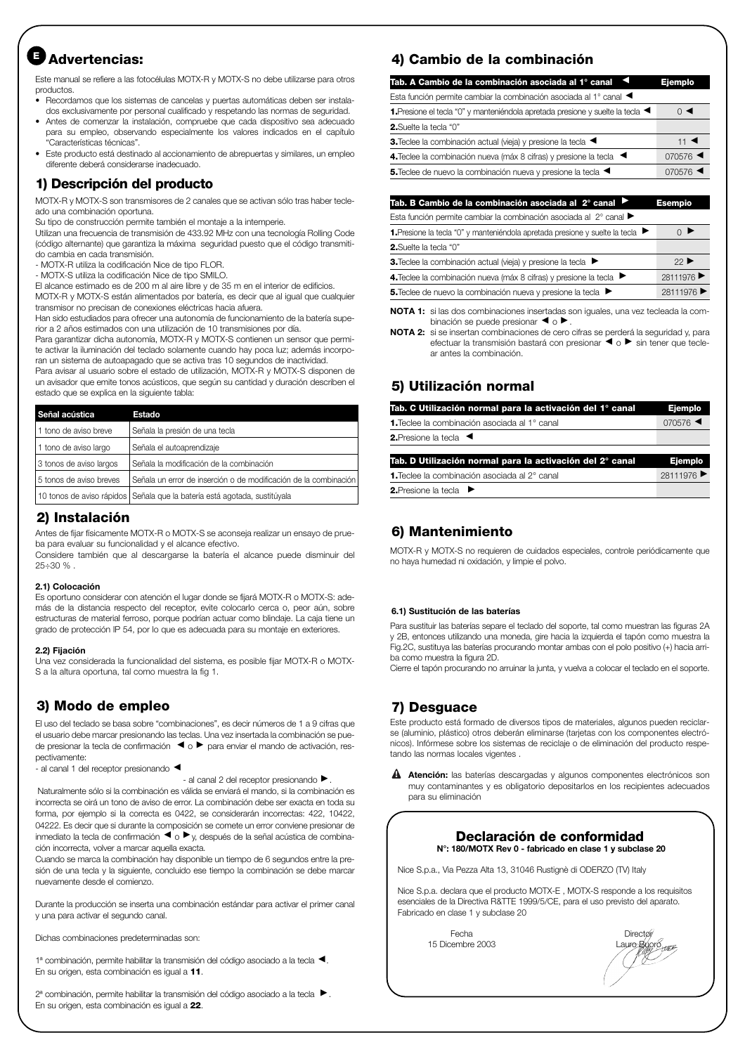# **Advertencias: <sup>E</sup>**

Este manual se refiere a las fotocélulas MOTX-R y MOTX-S no debe utilizarse para otros productos.

- Recordamos que los sistemas de cancelas y puertas automáticas deben ser instalados exclusivamente por personal cualificado y respetando las normas de seguridad.
- Antes de comenzar la instalación, compruebe que cada dispositivo sea adecuado para su empleo, observando especialmente los valores indicados en el capítulo "Características técnicas".
- Este producto está destinado al accionamiento de abrepuertas y similares, un empleo diferente deberá considerarse inadecuado.

## **1) Descripción del producto**

MOTX-R y MOTX-S son transmisores de 2 canales que se activan sólo tras haber tecleado una combinación oportuna.

Su tipo de construcción permite también el montaje a la intemperie.

Utilizan una frecuencia de transmisión de 433.92 MHz con una tecnología Rolling Code (código alternante) que garantiza la máxima seguridad puesto que el código transmitido cambia en cada transmisión.

- MOTX-R utiliza la codificación Nice de tipo FLOR.

- MOTX-S utiliza la codificación Nice de tipo SMILO.

El alcance estimado es de 200 m al aire libre y de 35 m en el interior de edificios. MOTX-R y MOTX-S están alimentados por batería, es decir que al igual que cualquier transmisor no precisan de conexiones eléctricas hacia afuera.

Han sido estudiados para ofrecer una autonomía de funcionamiento de la batería superior a 2 años estimados con una utilización de 10 transmisiones por día.

Para garantizar dicha autonomía, MOTX-R y MOTX-S contienen un sensor que permite activar la iluminación del teclado solamente cuando hay poca luz; además incorporan un sistema de autoapagado que se activa tras 10 segundos de inactividad.

Para avisar al usuario sobre el estado de utilización, MOTX-R y MOTX-S disponen de un avisador que emite tonos acústicos, que según su cantidad y duración describen el estado que se explica en la siguiente tabla:

| Señal acústica          | <b>Estado</b>                                                             |
|-------------------------|---------------------------------------------------------------------------|
| 11 tono de aviso breve  | Señala la presión de una tecla                                            |
| 1 tono de aviso largo   | Señala el autoaprendizaje                                                 |
| 3 tonos de aviso largos | Señala la modificación de la combinación                                  |
| 5 tonos de aviso breves | Señala un error de inserción o de modificación de la combinación          |
|                         | 10 tonos de aviso rápidos Señala que la batería está agotada, sustitúyala |

## **2) Instalación**

Antes de fijar físicamente MOTX-R o MOTX-S se aconseja realizar un ensayo de prueba para evaluar su funcionalidad y el alcance efectivo.

Considere también que al descargarse la batería el alcance puede disminuir del  $25 \div 30 \%$ .

#### **2.1) Colocación**

Es oportuno considerar con atención el lugar donde se fijará MOTX-R o MOTX-S: además de la distancia respecto del receptor, evite colocarlo cerca o, peor aún, sobre estructuras de material ferroso, porque podrían actuar como blindaje. La caja tiene un grado de protección IP 54, por lo que es adecuada para su montaje en exteriores.

#### **2.2) Fijación**

Una vez considerada la funcionalidad del sistema, es posible fijar MOTX-R o MOTX-S a la altura oportuna, tal como muestra la fig 1.

## **3) Modo de empleo**

El uso del teclado se basa sobre "combinaciones", es decir números de 1 a 9 cifras que el usuario debe marcar presionando las teclas. Una vez insertada la combinación se puede presionar la tecla de confirmación < o ▶ para enviar el mando de activación, respectivamente:

- al canal 1 del receptor presionando <

 $-$  al canal 2 del receptor presionando  $\blacktriangleright$  .

Naturalmente sólo si la combinación es válida se enviará el mando, si la combinación es incorrecta se oirá un tono de aviso de error. La combinación debe ser exacta en toda su forma, por ejemplo si la correcta es 0422, se considerarán incorrectas: 422, 10422, 04222. Es decir que si durante la composición se comete un error conviene presionar de inmediato la tecla de confirmación < o ▶ y, después de la señal acústica de combinación incorrecta, volver a marcar aquella exacta.

Cuando se marca la combinación hay disponible un tiempo de 6 segundos entre la presión de una tecla y la siguiente, concluido ese tiempo la combinación se debe marcar nuevamente desde el comienzo.

Durante la producción se inserta una combinación estándar para activar el primer canal y una para activar el segundo canal.

Dichas combinaciones predeterminadas son:

1ª combinación, permite habilitar la transmisión del código asociado a la tecla < En su origen, esta combinación es igual a **11**.

2ª combinación, permite habilitar la transmisión del código asociado a la tecla ▶. En su origen, esta combinación es igual a **22**.

## **4) Cambio de la combinación**

| $\circ$ $\triangleleft$       |
|-------------------------------|
|                               |
|                               |
|                               |
| 11 $\blacktriangleleft$       |
| 070576                        |
| $070576$ $\blacktriangleleft$ |
|                               |

| Tab. B Cambio de la combinación asociada al 2° canal <sup>▶</sup>                                  | <b>Esempio</b>                   |
|----------------------------------------------------------------------------------------------------|----------------------------------|
| Esta función permite cambiar la combinación asociada al 2° canal >                                 |                                  |
| 1. Presione la tecla "0" y manteniéndola apretada presione y suelte la tecla $\blacktriangleright$ | $\bigcirc$ $\blacktriangleright$ |
| <b>2.</b> Suelte la tecla "0"                                                                      |                                  |
| 3. Teclee la combinación actual (vieja) y presione la tecla ▶                                      | 22 <sub>1</sub>                  |
|                                                                                                    |                                  |

| 4. Teclee la combinación nueva (máx 8 cifras) y presione la tecla $\blacktriangleright$ | 28111976 ▶ |
|-----------------------------------------------------------------------------------------|------------|
| 5. Teclee de nuevo la combinación nueva y presione la tecla ▶                           | 28111976 ▶ |
|                                                                                         |            |

**NOTA 1:** si las dos combinaciones insertadas son iguales, una vez tecleada la combinación se puede presionar  $\blacktriangleleft$  o  $\blacktriangleright$  .

**NOTA 2:** si se insertan combinaciones de cero cifras se perderá la seguridad y, para efectuar la transmisión bastará con presionar < o ▶ sin tener que teclear antes la combinación.

## **5) Utilización normal**

| Tab. C Utilización normal para la activación del 1° canal | Ejemplo  |
|-----------------------------------------------------------|----------|
| <b>1.</b> Teclee la combinación asociada al 1° canal      | 070576   |
| <b>2.</b> Presione la tecla $\blacktriangleleft$          |          |
| Tab. D Utilización normal para la activación del 2° canal | Ejemplo  |
| 1. Teclee la combinación asociada al 2° canal             | 28111976 |
| 2. Presione la tecla ▶                                    |          |

## **6) Mantenimiento**

MOTX-R y MOTX-S no requieren de cuidados especiales, controle periódicamente que no haya humedad ni oxidación, y limpie el polvo.

#### **6.1) Sustitución de las baterías**

Para sustituir las baterías separe el teclado del soporte, tal como muestran las figuras 2A y 2B, entonces utilizando una moneda, gire hacia la izquierda el tapón como muestra la Fig.2C, sustituya las baterías procurando montar ambas con el polo positivo (+) hacia arriba como muestra la figura 2D.

Cierre el tapón procurando no arruinar la junta, y vuelva a colocar el teclado en el soporte.

## **7) Desguace**

Este producto está formado de diversos tipos de materiales, algunos pueden reciclarse (aluminio, plástico) otros deberán eliminarse (tarjetas con los componentes electrónicos). Infórmese sobre los sistemas de reciclaje o de eliminación del producto respetando las normas locales vigentes .

**Atención:** las baterías descargadas y algunos componentes electrónicos son **!** muy contaminantes y es obligatorio depositarlos en los recipientes adecuados para su eliminación

#### **Declaración de conformidad N°: 180/MOTX Rev 0 - fabricado en clase 1 y subclase 20**

Nice S.p.a., Via Pezza Alta 13, 31046 Rustignè di ODERZO (TV) Italy

Nice S.p.a. declara que el producto MOTX-E , MOTX-S responde a los requisitos esenciales de la Directiva R&TTE 1999/5/CE, para el uso previsto del aparato. Fabricado en clase 1 y subclase 20

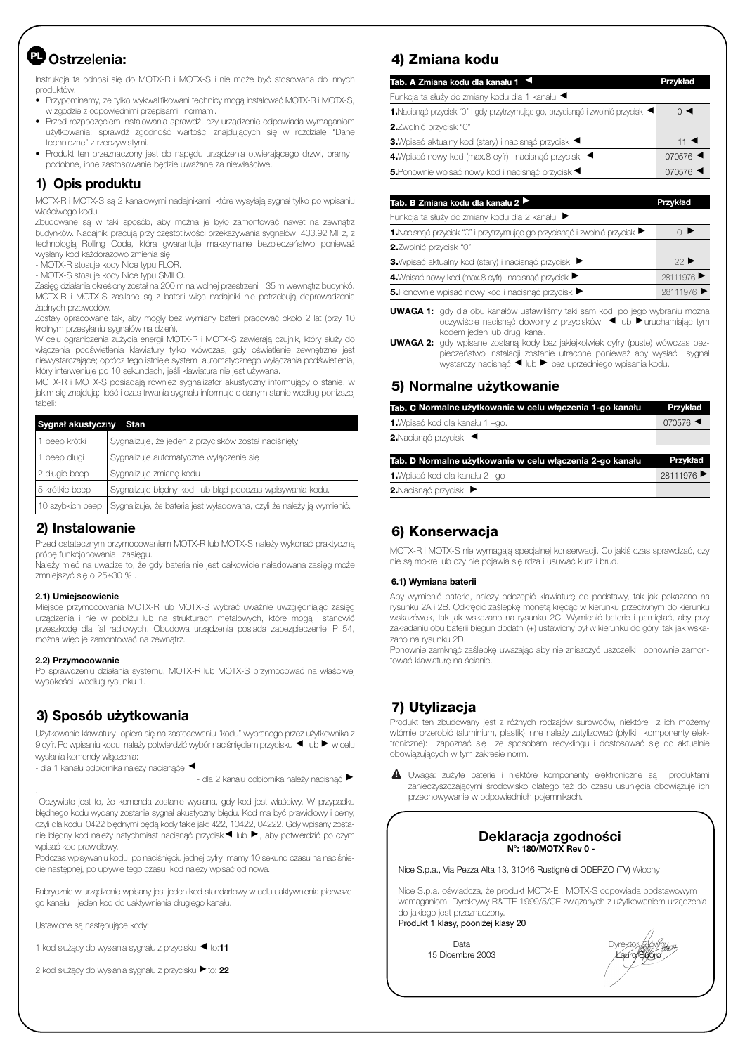# **Ostrze|enia: PL**

Instrukcja ta odnosi się do MOTX-R i MOTX-S i nie może być stosowana do innych produktów.

• Przypominamy, że tylko wykwalifikowani technicy mogą instalować MOTX-R i MOTX-S, w zgodzie z odpowiednimi przepisami i normami.

- Przed rozpoczęciem instalowania sprawdź, czy urządzenie odpowiada wymaganiom użytkowania; sprawdź zgodność wartości znajdujących się w rozdziale "Dane techniczne" z rzeczywistymi.
- Produkt ten przeznaczony jest do napędu urządzenia otwierającego drzwi, bramy i podobne, inne zastosowanie będzie uważane za niewłaściwe.

#### **1) Opis produktu**

MOTX-R i MOTX-S są 2 kanałowymi nadajnikami, które wysyłają sygnał tylko po wpisaniu właściwego kodu.

Zbudowane są w taki sposób, aby można je było zamontować nawet na zewnątrz budynków. Nadajniki pracują przy częstotliwości przekazywania sygnałów 433.92 MHz, z technologią Rolling Code, która gwarantuje maksymalne bezpieczeństwo ponieważ wysłany kod każdorazowo zmienia się.

- MOTX-R stosuje kody Nice typu FLOR.

- MOTX-S stosuje kody Nice typu SMILO.

Zasięg działania określony został na 200 m na wolnej przestrzeni i 35 m wewnątrz budynkó. MOTX-R i MOTX-S zasilane są z baterii więc nadajniki nie potrzebują doprowadzenia żadnych przewodów.

Zostały opracowane tak, aby mogły bez wymiany baterii pracować około 2 lat (przy 10 krotnym przesyłaniu sygnałów na dzień).

W celu ograniczenia zużycia energii MOTX-R i MOTX-S zawierają czujnik, który służy do włączenia podświetlenia klawiatury tylko wówczas, gdy oświetlenie zewnętrzne jest niewystarczające; oprócz tego istnieje system automatycznego wyłączania podświetlenia, który interweniuje po 10 sekundach, jeśli klawiatura nie jest używana.

MOTX-R i MOTX-S posiadają również sygnalizator akustyczny informujący o stanie, w jakim się znajdują: ilość i czas trwania sygnału informuje o danym stanie według poniższej tabeli:

| Sygnał akustyczny Stan |                                                                       |  |
|------------------------|-----------------------------------------------------------------------|--|
| 1 beep krótki          | Sygnalizuje, że jeden z przycisków został naciśnięty                  |  |
| 1 beep długi           | Sygnalizuje automatyczne wyłączenie się                               |  |
| 2 długie beep          | Sygnalizuje zmianę kodu                                               |  |
| 5 krótkie beep         | Sygnalizuje błędny kod lub błąd podczas wpisywania kodu.              |  |
| 10 szybkich beep       | Sygnalizuje, że bateria jest wyładowana, czyli że należy ją wymienić. |  |

#### **2) Instalowanie**

Przed ostatecznym przymocowaniem MOTX-R lub MOTX-S należy wykonać praktyczną próbę funkcjonowania i zasięgu.

Należy mieć na uwadze to, że gdy bateria nie jest całkowicie naładowana zasięg może zmniejszyć się o 25÷30 % .

#### **2.1) Umiejscowienie**

Miejsce przymocowania MOTX-R lub MOTX-S wybrać uważnie uwzględniając zasięg urządzenia i nie w pobliżu lub na strukturach metalowych, które mogą stanowić przeszkodę dla fal radiowych. Obudowa urządzenia posiada zabezpieczenie IP 54, można więc je zamontować na zewnątrz.

#### **2.2) Przymocowanie**

.

Po sprawdzeniu działania systemu, MOTX-R lub MOTX-S przymocować na właściwej wysokości według rysunku 1.

## **3) Sposób użytkowania**

Użytkowanie klawiatury opiera się na zastosowaniu "kodu" wybranego przez użytkownika z 9 cyfr. Po wpisaniu kodu należy potwierdzić wybór naciśnięciem przycisku ◀ lub ▶ w celu wysłania komendy włączenia:

- dla 1 kanału odbiomika należy nacisnąće <

- dla 2 kanału odbiomika należy nacisnąć ▶

Oczywiste jest to, że komenda zostanie wysłana, gdy kod jest właściwy. W przypadku błędnego kodu wydany zostanie sygnał akustyczny błędu. Kod ma być prawidłowy i pełny, czyli dla kodu 0422 błędnymi będą kody takie jak: 422, 10422, 04222. Gdy wpisany zostanie błędny kod należy natychmiast nacisnąć przycisk ◀ lub ▶ , aby potwierdzić po czym wpisać kod prawidłowy.

Podczas wpisywaniu kodu po naciśnięciu jednej cyfry mamy 10 sekund czasu na naciśniecie następnej, po upływie tego czasu kod należy wpisać od nowa.

Fabrycznie w urządzenie wpisany jest jeden kod standartowy w celu uaktywnienia pierwszego kanału i jeden kod do uaktywnienia drugiego kanału.

Ustawione są następujące kody:

1 kod służący do wysłania sygnału z przycisku < to:11

2 kod służący do wysłania sygnału z przycisku ▶ to: 22

#### **4) Zmiana kodu**

| 11 $\blacktriangleleft$ |
|-------------------------|
| 070576                  |
| 070576                  |
|                         |

| Tab. B Zmiana kodu dla kanału 2 ▶                                                               | Przykład   |  |
|-------------------------------------------------------------------------------------------------|------------|--|
| Funkcja ta służy do zmiany kodu dla 2 kanału ▶                                                  |            |  |
| 1. Nacisnać przycisk "0" i przytrzymując go przycisnać i zwolnić przycisk $\blacktriangleright$ |            |  |
| 2. Zwolnić przycisk "0"                                                                         |            |  |
| 3. Wpisać aktualny kod (stary) i nacisnać przycisk                                              | $22$ ▶     |  |
| 4. Wpisać nowy kod (max.8 cyfr) i nacisnąć przycisk ▶                                           | 28111976   |  |
| 5. Ponownie wpisać nowy kod i nacisnąć przycisk                                                 | 28111976 ▶ |  |
|                                                                                                 |            |  |

**UWAGA 1:** gdy dla obu kanałów ustawiliśmy taki sam kod, po jego wybraniu można oczywiście nacisnąć dowolny z przycisków: ◀ lub ▶ uruchamiając tym kodem jeden lub drugi kanał.

**UWAGA 2:** gdy wpisane zostaną kody bez jakiejkolwiek cyfry (puste) wówczas bezpieczeństwo instalacji zostanie utracone ponieważ aby wysłać sygnał<br>wystarczy nacisnąć ◀ lub ▶ bez uprzedniego wpisania kodu.

#### **5) Normalne użytkowanie**

| Tab. C Normalne użytkowanie w celu włączenia 1-go kanału | <b>Przykład</b>               |
|----------------------------------------------------------|-------------------------------|
| 1. Wpisać kod dla kanału 1 -go.                          | $070576$ $\blacktriangleleft$ |
| 2. Nacisnać przycisk <                                   |                               |
| Tab. D Normalne użytkowanie w celu włączenia 2-go kanału | Przykład                      |
| 1. Wpisać kod dla kanału 2 -go                           | 28111976 ▶                    |
| 2. Nacisnać przycisk ▶                                   |                               |

## **6) Konserwacja**

MOTX-R i MOTX-S nie wymagają specjalnej konserwacji. Co jakiś czas sprawdzać, czy nie są mokre lub czy nie pojawia się rdza i usuwać kurz i brud.

#### **6.1) Wymiana baterii**

Aby wymienić baterie, należy odczepić klawiaturę od podstawy, tak jak pokazano na rysunku 2A i 2B. Odkręcić zaślepkę monetą kręcąc w kierunku przeciwnym do kierunku wskazówek, tak jak wskazano na rysunku 2C. Wymienić baterie i pamiętać, aby przy zakładaniu obu baterii biegun dodatni (+) ustawiony był w kierunku do góry, tak jak wskazano na rysunku 2D.

Ponownie zamknąć zaślepkę uważając aby nie zniszczyć uszczelki i ponownie zamontować klawiaturę na ścianie.

## **7) Utylizacja**

Produkt ten zbudowany jest z różnych rodzajów surowców, niektóre z ich możemy wtórnie przerobić (aluminium, plastik) inne należy zutylizować (płytki i komponenty elektroniczne): zapoznać się ze sposobami recyklingu i dostosować się do aktualnie obowiązujących w tym zakresie norm.

Uwaga: zużyte baterie i niektóre komponenty elektroniczne są produktami **!** zanieczyszczającymi środowisko dlatego też do czasu usunięcia obowiązuje ich przechowywanie w odpowiednich pojemnikach.

#### **Deklaracja zgodności N°: 180/MOTX Rev 0 -**

Nice S.p.a., Via Pezza Alta 13, 31046 Rustignè di ODERZO (TV) Włochy

Nice S.p.a. oświadcza, że produkt MOTX-E , MOTX-S odpowiada podstawowym wamaganiom Dyrektywy R&TTE 1999/5/CE związanych z użytkowaniem urządzenia do jakiego jest przeznaczony.

Produkt 1 klasy, pooniżej klasy 20

15 Dicembre 2003 Lauro Buoro Lauro Buoro